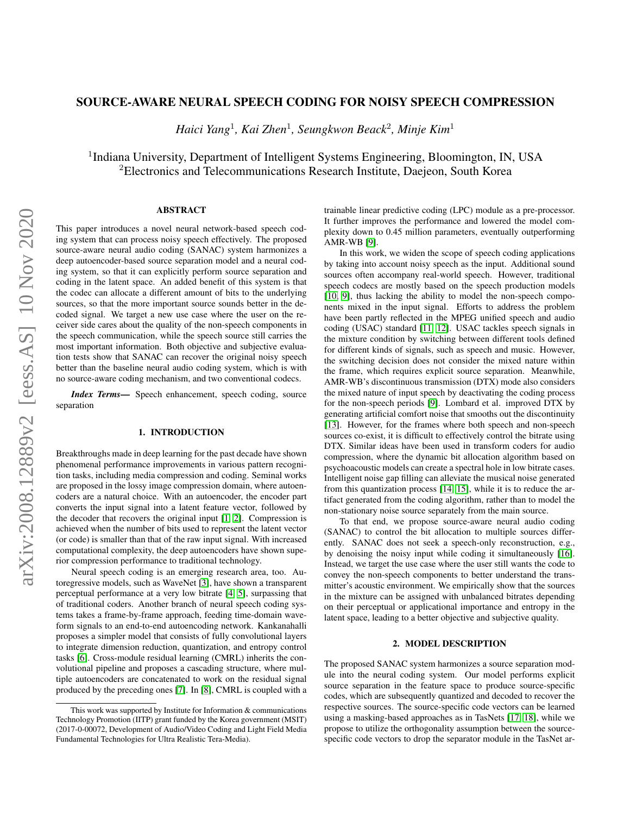## <span id="page-0-0"></span>SOURCE-AWARE NEURAL SPEECH CODING FOR NOISY SPEECH COMPRESSION

*Haici Yang*<sup>1</sup> *, Kai Zhen*<sup>1</sup> *, Seungkwon Beack*<sup>2</sup> *, Minje Kim*<sup>1</sup>

<sup>1</sup>Indiana University, Department of Intelligent Systems Engineering, Bloomington, IN, USA <sup>2</sup>Electronics and Telecommunications Research Institute, Daejeon, South Korea

# ABSTRACT

This paper introduces a novel neural network-based speech coding system that can process noisy speech effectively. The proposed source-aware neural audio coding (SANAC) system harmonizes a deep autoencoder-based source separation model and a neural coding system, so that it can explicitly perform source separation and coding in the latent space. An added benefit of this system is that the codec can allocate a different amount of bits to the underlying sources, so that the more important source sounds better in the decoded signal. We target a new use case where the user on the receiver side cares about the quality of the non-speech components in the speech communication, while the speech source still carries the most important information. Both objective and subjective evaluation tests show that SANAC can recover the original noisy speech better than the baseline neural audio coding system, which is with no source-aware coding mechanism, and two conventional codecs.

*Index Terms*— Speech enhancement, speech coding, source separation

### 1. INTRODUCTION

Breakthroughs made in deep learning for the past decade have shown phenomenal performance improvements in various pattern recognition tasks, including media compression and coding. Seminal works are proposed in the lossy image compression domain, where autoencoders are a natural choice. With an autoencoder, the encoder part converts the input signal into a latent feature vector, followed by the decoder that recovers the original input [\[1,](#page-4-0) [2\]](#page-4-1). Compression is achieved when the number of bits used to represent the latent vector (or code) is smaller than that of the raw input signal. With increased computational complexity, the deep autoencoders have shown superior compression performance to traditional technology.

Neural speech coding is an emerging research area, too. Autoregressive models, such as WaveNet [\[3\]](#page-4-2), have shown a transparent perceptual performance at a very low bitrate [\[4,](#page-4-3) [5\]](#page-4-4), surpassing that of traditional coders. Another branch of neural speech coding systems takes a frame-by-frame approach, feeding time-domain waveform signals to an end-to-end autoencoding network. Kankanahalli proposes a simpler model that consists of fully convolutional layers to integrate dimension reduction, quantization, and entropy control tasks [\[6\]](#page-4-5). Cross-module residual learning (CMRL) inherits the convolutional pipeline and proposes a cascading structure, where multiple autoencoders are concatenated to work on the residual signal produced by the preceding ones [\[7\]](#page-4-6). In [\[8\]](#page-4-7), CMRL is coupled with a

trainable linear predictive coding (LPC) module as a pre-processor. It further improves the performance and lowered the model complexity down to 0.45 million parameters, eventually outperforming AMR-WB [\[9\]](#page-4-8).

In this work, we widen the scope of speech coding applications by taking into account noisy speech as the input. Additional sound sources often accompany real-world speech. However, traditional speech codecs are mostly based on the speech production models [\[10,](#page-4-9) [9\]](#page-4-8), thus lacking the ability to model the non-speech components mixed in the input signal. Efforts to address the problem have been partly reflected in the MPEG unified speech and audio coding (USAC) standard [\[11,](#page-4-10) [12\]](#page-4-11). USAC tackles speech signals in the mixture condition by switching between different tools defined for different kinds of signals, such as speech and music. However, the switching decision does not consider the mixed nature within the frame, which requires explicit source separation. Meanwhile, AMR-WB's discontinuous transmission (DTX) mode also considers the mixed nature of input speech by deactivating the coding process for the non-speech periods [\[9\]](#page-4-8). Lombard et al. improved DTX by generating artificial comfort noise that smooths out the discontinuity [\[13\]](#page-4-12). However, for the frames where both speech and non-speech sources co-exist, it is difficult to effectively control the bitrate using DTX. Similar ideas have been used in transform coders for audio compression, where the dynamic bit allocation algorithm based on psychoacoustic models can create a spectral hole in low bitrate cases. Intelligent noise gap filling can alleviate the musical noise generated from this quantization process [\[14,](#page-4-13) [15\]](#page-4-14), while it is to reduce the artifact generated from the coding algorithm, rather than to model the non-stationary noise source separately from the main source.

To that end, we propose source-aware neural audio coding (SANAC) to control the bit allocation to multiple sources differently. SANAC does not seek a speech-only reconstruction, e.g., by denoising the noisy input while coding it simultaneously [\[16\]](#page-4-15). Instead, we target the use case where the user still wants the code to convey the non-speech components to better understand the transmitter's acoustic environment. We empirically show that the sources in the mixture can be assigned with unbalanced bitrates depending on their perceptual or applicational importance and entropy in the latent space, leading to a better objective and subjective quality.

### 2. MODEL DESCRIPTION

The proposed SANAC system harmonizes a source separation module into the neural coding system. Our model performs explicit source separation in the feature space to produce source-specific codes, which are subsequently quantized and decoded to recover the respective sources. The source-specific code vectors can be learned using a masking-based approaches as in TasNets [\[17,](#page-4-16) [18\]](#page-4-17), while we propose to utilize the orthogonality assumption between the sourcespecific code vectors to drop the separator module in the TasNet ar-

This work was supported by Institute for Information  $&$  communications Technology Promotion (IITP) grant funded by the Korea government (MSIT) (2017-0-00072, Development of Audio/Video Coding and Light Field Media Fundamental Technologies for Ultra Realistic Tera-Media).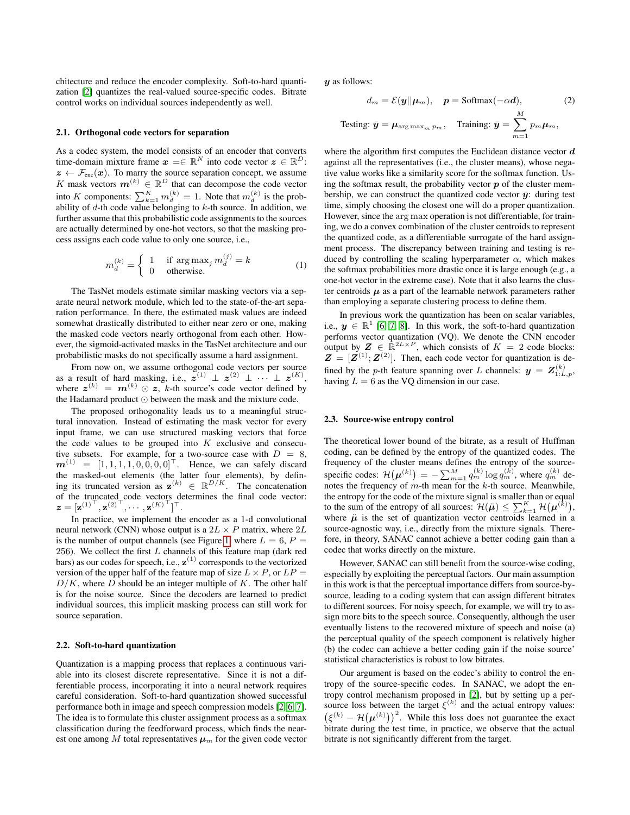chitecture and reduce the encoder complexity. Soft-to-hard quantization [\[2\]](#page-4-1) quantizes the real-valued source-specific codes. Bitrate control works on individual sources independently as well.

#### 2.1. Orthogonal code vectors for separation

As a codec system, the model consists of an encoder that converts time-domain mixture frame  $x = \in \mathbb{R}^N$  into code vector  $z \in \mathbb{R}^D$ :  $z \leftarrow \mathcal{F}_{\text{enc}}(x)$ . To marry the source separation concept, we assume K mask vectors  $m^{(k)} \in \mathbb{R}^D$  that can decompose the code vector into K components:  $\sum_{k=1}^{K} m_d^{(k)} = 1$ . Note that  $m_d^{(k)}$  is the probability of  $d$ -th code value belonging to  $k$ -th source. In addition, we further assume that this probabilistic code assignments to the sources are actually determined by one-hot vectors, so that the masking process assigns each code value to only one source, i.e.,

$$
m_d^{(k)} = \begin{cases} 1 & \text{if } \arg \max_j m_d^{(j)} = k \\ 0 & \text{otherwise.} \end{cases}
$$
 (1)

The TasNet models estimate similar masking vectors via a separate neural network module, which led to the state-of-the-art separation performance. In there, the estimated mask values are indeed somewhat drastically distributed to either near zero or one, making the masked code vectors nearly orthogonal from each other. However, the sigmoid-activated masks in the TasNet architecture and our probabilistic masks do not specifically assume a hard assignment.

From now on, we assume orthogonal code vectors per source as a result of hard masking, i.e.,  $z^{(1)} \perp z^{(2)} \perp \cdots \perp z^{(K)}$ , where  $\boldsymbol{z}^{(k)} = \boldsymbol{m}^{(k)} \odot \boldsymbol{z}$ , k-th source's code vector defined by the Hadamard product  $\odot$  between the mask and the mixture code.

The proposed orthogonality leads us to a meaningful structural innovation. Instead of estimating the mask vector for every input frame, we can use structured masking vectors that force the code values to be grouped into  $K$  exclusive and consecutive subsets. For example, for a two-source case with  $D = 8$ ,  $m^{(1)} = [1, 1, 1, 1, 0, 0, 0, 0]^\top$ . Hence, we can safely discard the masked-out elements (the latter four elements), by defining its truncated version as  $\mathbf{z}^{(k)} \in \mathbb{R}^{D/K}$ . The concatenation of the truncated code vectors determines the final code vector:  $\mathbf{z} = [\mathbf{z}^{(1)^\top}, \mathbf{z}^{(2)^\top}, \cdots, \mathbf{z}^{(K)^\top}]^\top.$ 

In practice, we implement the encoder as a 1-d convolutional neural network (CNN) whose output is a  $2L \times P$  matrix, where  $2L$ is the number of output channels (see Figure [1,](#page-2-0) where  $L = 6$ ,  $P =$ 256). We collect the first  $L$  channels of this feature map (dark red bars) as our codes for speech, i.e.,  $z^{(1)}$  corresponds to the vectorized version of the upper half of the feature map of size  $L \times P$ , or  $LP =$  $D/K$ , where D should be an integer multiple of K. The other half is for the noise source. Since the decoders are learned to predict individual sources, this implicit masking process can still work for source separation.

### 2.2. Soft-to-hard quantization

Quantization is a mapping process that replaces a continuous variable into its closest discrete representative. Since it is not a differentiable process, incorporating it into a neural network requires careful consideration. Soft-to-hard quantization showed successful performance both in image and speech compression models [\[2,](#page-4-1) [6,](#page-4-5) [7\]](#page-4-6). The idea is to formulate this cluster assignment process as a softmax classification during the feedforward process, which finds the nearest one among M total representatives  $\mu_m$  for the given code vector

 $\boldsymbol{y}$  as follows:

$$
d_m = \mathcal{E}(\mathbf{y}||\mathbf{\mu}_m), \quad \mathbf{p} = \text{Softmax}(-\alpha \mathbf{d}), \tag{2}
$$
  
Testing:  $\bar{\mathbf{y}} = \mathbf{\mu}_{\arg \max_m p_m}, \quad \text{Training: } \bar{\mathbf{y}} = \sum_{m=1}^{M} p_m \mathbf{\mu}_m,$ 

where the algorithm first computes the Euclidean distance vector  $\boldsymbol{d}$ against all the representatives (i.e., the cluster means), whose negative value works like a similarity score for the softmax function. Using the softmax result, the probability vector  $p$  of the cluster membership, we can construct the quantized code vector  $\bar{y}$ : during test time, simply choosing the closest one will do a proper quantization. However, since the arg max operation is not differentiable, for training, we do a convex combination of the cluster centroids to represent the quantized code, as a differentiable surrogate of the hard assignment process. The discrepancy between training and testing is reduced by controlling the scaling hyperparameter  $\alpha$ , which makes the softmax probabilities more drastic once it is large enough (e.g., a one-hot vector in the extreme case). Note that it also learns the cluster centroids  $\mu$  as a part of the learnable network parameters rather than employing a separate clustering process to define them.

In previous work the quantization has been on scalar variables, i.e.,  $y \in \mathbb{R}^1$  [\[6,](#page-4-5) [7,](#page-4-6) [8\]](#page-4-7). In this work, the soft-to-hard quantization performs vector quantization (VQ). We denote the CNN encoder output by  $\mathbf{Z} \in \mathbb{R}^{2L \times P}$ , which consists of  $K = 2$  code blocks:  $\mathbf{Z} = [\mathbf{Z}^{(1)}; \mathbf{Z}^{(2)}]$ . Then, each code vector for quantization is defined by the *p*-th feature spanning over L channels:  $y = Z_{1:L,p}^{(k)}$ , having  $L = 6$  as the VQ dimension in our case.

### 2.3. Source-wise entropy control

The theoretical lower bound of the bitrate, as a result of Huffman coding, can be defined by the entropy of the quantized codes. The frequency of the cluster means defines the entropy of the sourcespecific codes:  $\mathcal{H}\big(\boldsymbol{\mu}^{(k)}\big) = -\sum_{m=1}^{M} q_m^{(k)} \log q_m^{(k)}$ , where  $q_m^{(k)}$  denotes the frequency of  $m$ -th mean for the  $k$ -th source. Meanwhile, the entropy for the code of the mixture signal is smaller than or equal to the sum of the entropy of all sources:  $\mathcal{H}(\ddot{\mu}) \leq \sum_{k=1}^{K} \mathcal{H}(\mu^{(\tilde{k})}),$ where  $\mu$  is the set of quantization vector centroids learned in a source-agnostic way, i.e., directly from the mixture signals. Therefore, in theory, SANAC cannot achieve a better coding gain than a codec that works directly on the mixture.

However, SANAC can still benefit from the source-wise coding, especially by exploiting the perceptual factors. Our main assumption in this work is that the perceptual importance differs from source-bysource, leading to a coding system that can assign different bitrates to different sources. For noisy speech, for example, we will try to assign more bits to the speech source. Consequently, although the user eventually listens to the recovered mixture of speech and noise (a) the perceptual quality of the speech component is relatively higher (b) the codec can achieve a better coding gain if the noise source' statistical characteristics is robust to low bitrates.

Our argument is based on the codec's ability to control the entropy of the source-specific codes. In SANAC, we adopt the entropy control mechanism proposed in [\[2\]](#page-4-1), but by setting up a persource loss between the target  $\xi^{(k)}$  and the actual entropy values:  $(\xi^{(k)} - \mathcal{H}(\boldsymbol{\mu}^{(k)}))^2$ . While this loss does not guarantee the exact bitrate during the test time, in practice, we observe that the actual bitrate is not significantly different from the target.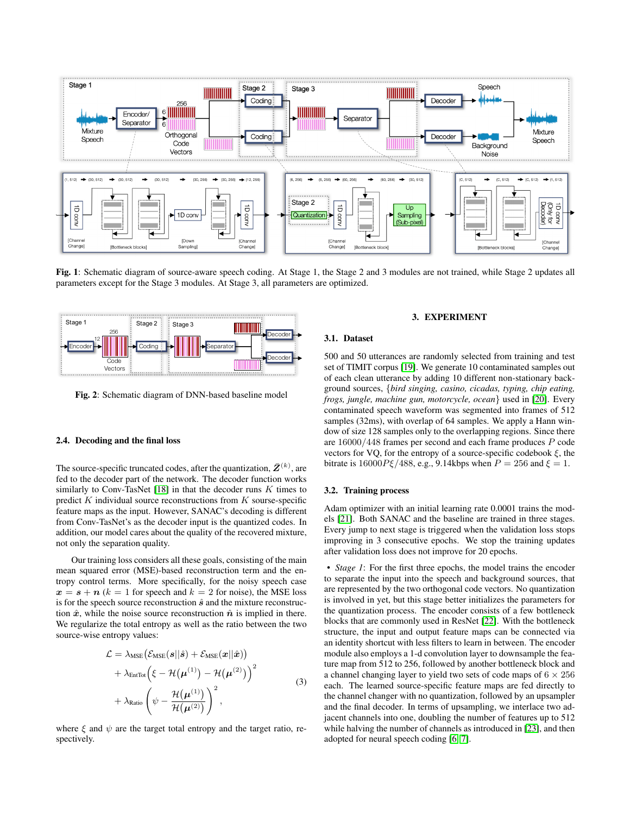<span id="page-2-0"></span>

Fig. 1: Schematic diagram of source-aware speech coding. At Stage 1, the Stage 2 and 3 modules are not trained, while Stage 2 updates all parameters except for the Stage 3 modules. At Stage 3, all parameters are optimized.

<span id="page-2-1"></span>

Fig. 2: Schematic diagram of DNN-based baseline model

### 2.4. Decoding and the final loss

The source-specific truncated codes, after the quantization,  $\bar{Z}^{(k)}$ , are fed to the decoder part of the network. The decoder function works similarly to Conv-TasNet [\[18\]](#page-4-17) in that the decoder runs  $K$  times to predict  $K$  individual source reconstructions from  $K$  sourse-specific feature maps as the input. However, SANAC's decoding is different from Conv-TasNet's as the decoder input is the quantized codes. In addition, our model cares about the quality of the recovered mixture, not only the separation quality.

Our training loss considers all these goals, consisting of the main mean squared error (MSE)-based reconstruction term and the entropy control terms. More specifically, for the noisy speech case  $x = s + n$  ( $k = 1$  for speech and  $k = 2$  for noise), the MSE loss is for the speech source reconstruction  $\hat{s}$  and the mixture reconstruction  $\hat{x}$ , while the noise source reconstruction  $\hat{n}$  is implied in there. We regularize the total entropy as well as the ratio between the two source-wise entropy values:

$$
\mathcal{L} = \lambda_{\text{MSE}} \left( \mathcal{E}_{\text{MSE}}(\boldsymbol{s} || \hat{\boldsymbol{s}}) + \mathcal{E}_{\text{MSE}}(\boldsymbol{x} || \hat{\boldsymbol{x}}) \right) \n+ \lambda_{\text{EnTot}} \left( \xi - \mathcal{H}(\boldsymbol{\mu}^{(1)}) - \mathcal{H}(\boldsymbol{\mu}^{(2)}) \right)^2 \n+ \lambda_{\text{Ratio}} \left( \psi - \frac{\mathcal{H}(\boldsymbol{\mu}^{(1)})}{\mathcal{H}(\boldsymbol{\mu}^{(2)})} \right)^2,
$$
\n(3)

where  $\xi$  and  $\psi$  are the target total entropy and the target ratio, respectively.

### 3. EXPERIMENT

### 3.1. Dataset

500 and 50 utterances are randomly selected from training and test set of TIMIT corpus [\[19\]](#page-4-18). We generate 10 contaminated samples out of each clean utterance by adding 10 different non-stationary background sources, {*bird singing, casino, cicadas, typing, chip eating, frogs, jungle, machine gun, motorcycle, ocean*} used in [\[20\]](#page-4-19). Every contaminated speech waveform was segmented into frames of 512 samples (32ms), with overlap of 64 samples. We apply a Hann window of size 128 samples only to the overlapping regions. Since there are 16000/448 frames per second and each frame produces P code vectors for VQ, for the entropy of a source-specific codebook  $\xi$ , the bitrate is  $16000P\xi/488$ , e.g., 9.14kbps when  $P = 256$  and  $\xi = 1$ .

# 3.2. Training process

Adam optimizer with an initial learning rate 0.0001 trains the models [\[21\]](#page-4-20). Both SANAC and the baseline are trained in three stages. Every jump to next stage is triggered when the validation loss stops improving in 3 consecutive epochs. We stop the training updates after validation loss does not improve for 20 epochs.

• *Stage 1*: For the first three epochs, the model trains the encoder to separate the input into the speech and background sources, that are represented by the two orthogonal code vectors. No quantization is involved in yet, but this stage better initializes the parameters for the quantization process. The encoder consists of a few bottleneck blocks that are commonly used in ResNet [\[22\]](#page-4-21). With the bottleneck structure, the input and output feature maps can be connected via an identity shortcut with less filters to learn in between. The encoder module also employs a 1-d convolution layer to downsample the feature map from 512 to 256, followed by another bottleneck block and a channel changing layer to yield two sets of code maps of  $6 \times 256$ each. The learned source-specific feature maps are fed directly to the channel changer with no quantization, followed by an upsampler and the final decoder. In terms of upsampling, we interlace two adjacent channels into one, doubling the number of features up to 512 while halving the number of channels as introduced in [\[23\]](#page-4-22), and then adopted for neural speech coding [\[6,](#page-4-5) [7\]](#page-4-6).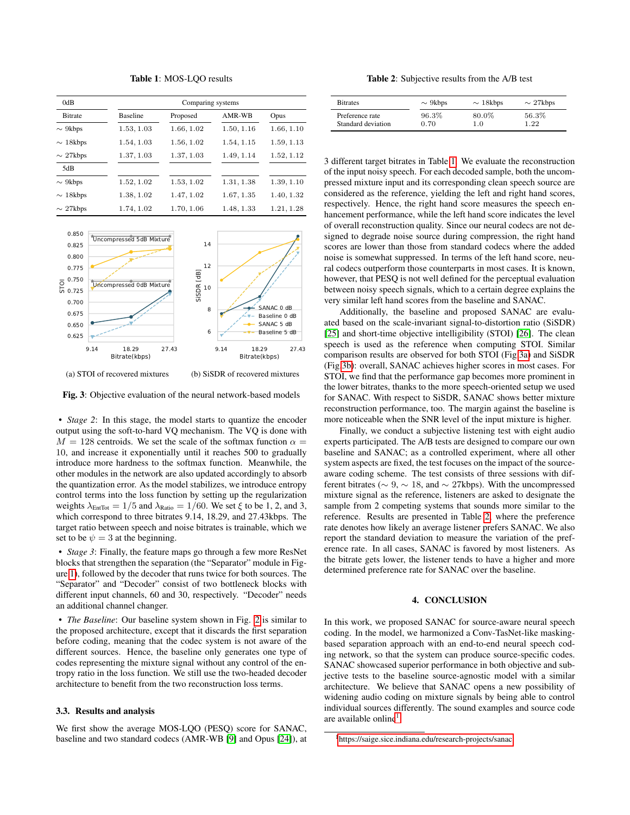Table 1: MOS-LQO results

<span id="page-3-0"></span>

| 0dB             | Comparing systems |            |            |            |
|-----------------|-------------------|------------|------------|------------|
| <b>B</b> itrate | <b>Baseline</b>   | Proposed   | AMR-WB     | Opus       |
| $\sim$ 9kbps    | 1.53, 1.03        | 1.66, 1.02 | 1.50, 1.16 | 1.66, 1.10 |
| $\sim$ 18kbps   | 1.54, 1.03        | 1.56, 1.02 | 1.54, 1.15 | 1.59, 1.13 |
| $\sim$ 27kbps   | 1.37, 1.03        | 1.37, 1.03 | 1.49, 1.14 | 1.52, 1.12 |
| 5dB             |                   |            |            |            |
| $\sim$ 9kbps    | 1.52, 1.02        | 1.53, 1.02 | 1.31, 1.38 | 1.39, 1.10 |
| $\sim$ 18kbps   | 1.38, 1.02        | 1.47, 1.02 | 1.67, 1.35 | 1.40, 1.32 |
| $\sim$ 27kbps   | 1.74, 1.02        | 1.70, 1.06 | 1.48, 1.33 | 1.21, 1.28 |

<span id="page-3-1"></span>

Fig. 3: Objective evaluation of the neural network-based models

• *Stage 2*: In this stage, the model starts to quantize the encoder output using the soft-to-hard VQ mechanism. The VQ is done with  $M = 128$  centroids. We set the scale of the softmax function  $\alpha =$ 10, and increase it exponentially until it reaches 500 to gradually introduce more hardness to the softmax function. Meanwhile, the other modules in the network are also updated accordingly to absorb the quantization error. As the model stabilizes, we introduce entropy control terms into the loss function by setting up the regularization weights  $\lambda_{\text{EntTot}} = 1/5$  and  $\lambda_{\text{Ratio}} = 1/60$ . We set  $\xi$  to be 1, 2, and 3, which correspond to three bitrates 9.14, 18.29, and 27.43kbps. The target ratio between speech and noise bitrates is trainable, which we set to be  $\psi = 3$  at the beginning.

• *Stage 3*: Finally, the feature maps go through a few more ResNet blocks that strengthen the separation (the "Separator" module in Figure [1\)](#page-2-0), followed by the decoder that runs twice for both sources. The "Separator" and "Decoder" consist of two bottleneck blocks with different input channels, 60 and 30, respectively. "Decoder" needs an additional channel changer.

• *The Baseline*: Our baseline system shown in Fig. [2](#page-2-1) is similar to the proposed architecture, except that it discards the first separation before coding, meaning that the codec system is not aware of the different sources. Hence, the baseline only generates one type of codes representing the mixture signal without any control of the entropy ratio in the loss function. We still use the two-headed decoder architecture to benefit from the two reconstruction loss terms.

### 3.3. Results and analysis

We first show the average MOS-LQO (PESQ) score for SANAC, baseline and two standard codecs (AMR-WB [\[9\]](#page-4-8) and Opus [\[24\]](#page-4-23)), at

Table 2: Subjective results from the A/B test

<span id="page-3-2"></span>

| <b>Bitrates</b>    | $\sim$ 9kbps | $\sim$ 18kbps | $\sim$ 27kbps |
|--------------------|--------------|---------------|---------------|
| Preference rate    | 96.3%        | 80.0%         | 56.3%         |
| Standard deviation | 0.70         | 1.0           | 22            |

3 different target bitrates in Table [1.](#page-3-0) We evaluate the reconstruction of the input noisy speech. For each decoded sample, both the uncompressed mixture input and its corresponding clean speech source are considered as the reference, yielding the left and right hand scores, respectively. Hence, the right hand score measures the speech enhancement performance, while the left hand score indicates the level of overall reconstruction quality. Since our neural codecs are not designed to degrade noise source during compression, the right hand scores are lower than those from standard codecs where the added noise is somewhat suppressed. In terms of the left hand score, neural codecs outperform those counterparts in most cases. It is known, however, that PESQ is not well defined for the perceptual evaluation between noisy speech signals, which to a certain degree explains the very similar left hand scores from the baseline and SANAC.

Additionally, the baseline and proposed SANAC are evaluated based on the scale-invariant signal-to-distortion ratio (SiSDR) [\[25\]](#page-4-24) and short-time objective intelligibility (STOI) [\[26\]](#page-4-25). The clean speech is used as the reference when computing STOI. Similar comparison results are observed for both STOI (Fig[.3a\)](#page-3-1) and SiSDR (Fig[.3b\)](#page-3-1): overall, SANAC achieves higher scores in most cases. For STOI, we find that the performance gap becomes more prominent in the lower bitrates, thanks to the more speech-oriented setup we used for SANAC. With respect to SiSDR, SANAC shows better mixture reconstruction performance, too. The margin against the baseline is more noticeable when the SNR level of the input mixture is higher.

Finally, we conduct a subjective listening test with eight audio experts participated. The A/B tests are designed to compare our own baseline and SANAC; as a controlled experiment, where all other system aspects are fixed, the test focuses on the impact of the sourceaware coding scheme. The test consists of three sessions with different bitrates ( $\sim 9$ ,  $\sim 18$ , and  $\sim 27$ kbps). With the uncompressed mixture signal as the reference, listeners are asked to designate the sample from 2 competing systems that sounds more similar to the reference. Results are presented in Table [2,](#page-3-2) where the preference rate denotes how likely an average listener prefers SANAC. We also report the standard deviation to measure the variation of the preference rate. In all cases, SANAC is favored by most listeners. As the bitrate gets lower, the listener tends to have a higher and more determined preference rate for SANAC over the baseline.

### 4. CONCLUSION

In this work, we proposed SANAC for source-aware neural speech coding. In the model, we harmonized a Conv-TasNet-like maskingbased separation approach with an end-to-end neural speech coding network, so that the system can produce source-specific codes. SANAC showcased superior performance in both objective and subjective tests to the baseline source-agnostic model with a similar architecture. We believe that SANAC opens a new possibility of widening audio coding on mixture signals by being able to control individual sources differently. The sound examples and source code are available online<sup>[1](#page-3-3)</sup>.

<span id="page-3-3"></span><sup>1</sup>[https://saige.sice.indiana.edu/research-projects/sanac](#page-0-0)